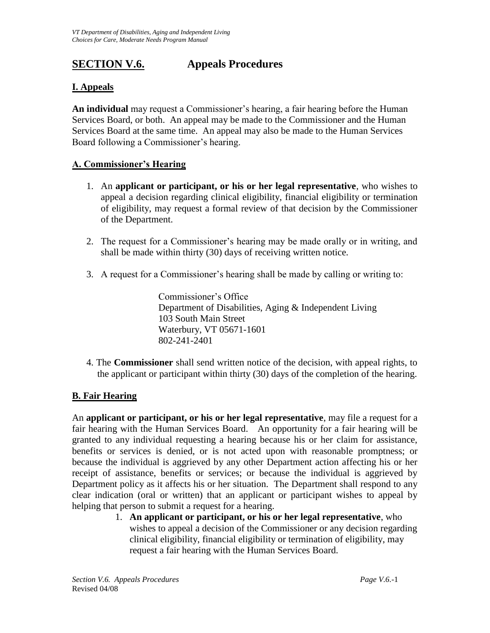# **SECTION V.6. Appeals Procedures**

## **I. Appeals**

**An individual** may request a Commissioner's hearing, a fair hearing before the Human Services Board, or both. An appeal may be made to the Commissioner and the Human Services Board at the same time. An appeal may also be made to the Human Services Board following a Commissioner's hearing.

## **A. Commissioner's Hearing**

- 1. An **applicant or participant, or his or her legal representative**, who wishes to appeal a decision regarding clinical eligibility, financial eligibility or termination of eligibility, may request a formal review of that decision by the Commissioner of the Department.
- 2. The request for a Commissioner's hearing may be made orally or in writing, and shall be made within thirty (30) days of receiving written notice.
- 3. A request for a Commissioner's hearing shall be made by calling or writing to:

Commissioner's Office Department of Disabilities, Aging & Independent Living 103 South Main Street Waterbury, VT 05671-1601 802-241-2401

4. The **Commissioner** shall send written notice of the decision, with appeal rights, to the applicant or participant within thirty (30) days of the completion of the hearing.

#### **B. Fair Hearing**

An **applicant or participant, or his or her legal representative**, may file a request for a fair hearing with the Human Services Board. An opportunity for a fair hearing will be granted to any individual requesting a hearing because his or her claim for assistance, benefits or services is denied, or is not acted upon with reasonable promptness; or because the individual is aggrieved by any other Department action affecting his or her receipt of assistance, benefits or services; or because the individual is aggrieved by Department policy as it affects his or her situation. The Department shall respond to any clear indication (oral or written) that an applicant or participant wishes to appeal by helping that person to submit a request for a hearing.

1. **An applicant or participant, or his or her legal representative**, who wishes to appeal a decision of the Commissioner or any decision regarding clinical eligibility, financial eligibility or termination of eligibility, may request a fair hearing with the Human Services Board.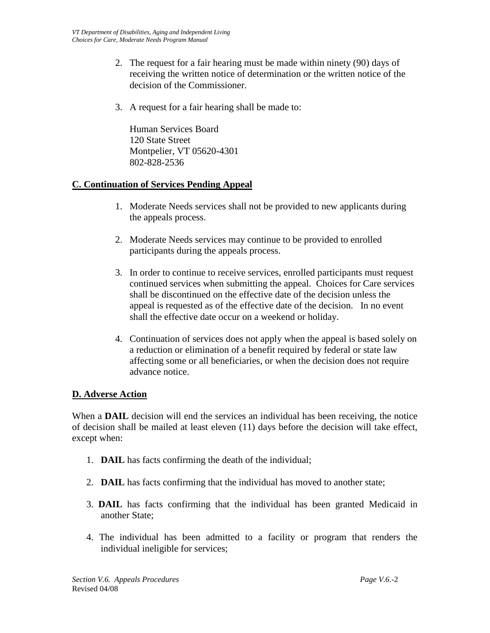- 2. The request for a fair hearing must be made within ninety (90) days of receiving the written notice of determination or the written notice of the decision of the Commissioner.
- 3. A request for a fair hearing shall be made to:

Human Services Board 120 State Street Montpelier, VT 05620-4301 802-828-2536

## **C. Continuation of Services Pending Appeal**

- 1. Moderate Needs services shall not be provided to new applicants during the appeals process.
- 2. Moderate Needs services may continue to be provided to enrolled participants during the appeals process.
- 3. In order to continue to receive services, enrolled participants must request continued services when submitting the appeal. Choices for Care services shall be discontinued on the effective date of the decision unless the appeal is requested as of the effective date of the decision. In no event shall the effective date occur on a weekend or holiday.
- 4. Continuation of services does not apply when the appeal is based solely on a reduction or elimination of a benefit required by federal or state law affecting some or all beneficiaries, or when the decision does not require advance notice.

#### **D. Adverse Action**

When a **DAIL** decision will end the services an individual has been receiving, the notice of decision shall be mailed at least eleven (11) days before the decision will take effect, except when:

- 1. **DAIL** has facts confirming the death of the individual;
- 2. **DAIL** has facts confirming that the individual has moved to another state;
- 3. **DAIL** has facts confirming that the individual has been granted Medicaid in another State;
- 4. The individual has been admitted to a facility or program that renders the individual ineligible for services;